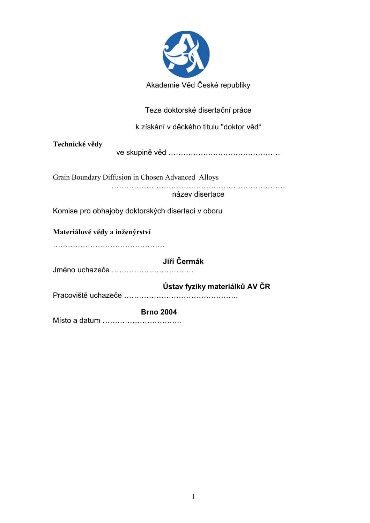

Teze doktorské disertační práce

k získání v děckého titulu "doktor věd"

| Technické vědy                                     |
|----------------------------------------------------|
| Grain Boundary Diffusion in Chosen Advanced Alloys |
| název disertace                                    |
| Komise pro obhajoby doktorských disertací v oboru  |
| Materiálové vědy a inženýrství                     |
| Jiří Čermák<br>Jméno uchazeče                      |
| Ústav fyziky materiálků AV ČR                      |
| <b>Brno 2004</b>                                   |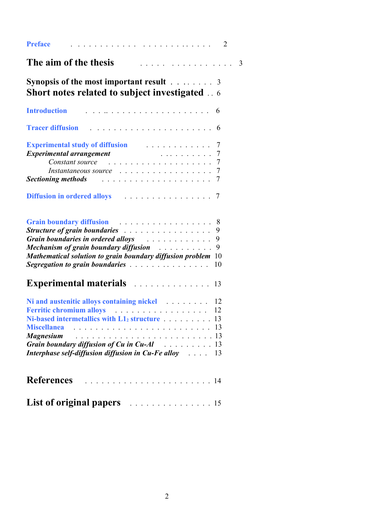| <b>Preface</b>                                                                                                                                                                                                                                                                                                                                                                                                                                                                                                                                                                                                                                                                                                |                           |
|---------------------------------------------------------------------------------------------------------------------------------------------------------------------------------------------------------------------------------------------------------------------------------------------------------------------------------------------------------------------------------------------------------------------------------------------------------------------------------------------------------------------------------------------------------------------------------------------------------------------------------------------------------------------------------------------------------------|---------------------------|
| The aim of the thesis<br>.                                                                                                                                                                                                                                                                                                                                                                                                                                                                                                                                                                                                                                                                                    | $\overline{\phantom{a}3}$ |
| <b>Synopsis of the most important result</b> 3<br><b>Short notes related to subject investigated</b> 6                                                                                                                                                                                                                                                                                                                                                                                                                                                                                                                                                                                                        |                           |
| <b>Introduction</b>                                                                                                                                                                                                                                                                                                                                                                                                                                                                                                                                                                                                                                                                                           |                           |
| <b>Tracer diffusion</b>                                                                                                                                                                                                                                                                                                                                                                                                                                                                                                                                                                                                                                                                                       |                           |
| <b>Experimental study of diffusion</b> experimental study of diffusion<br><b>Experimental arrangement</b><br>. 7<br>Constant source contained a series and the contact of the contact of the contact of the Constantine Constanting T<br>Instantaneous source response to the contract of the set of the set of the set of the set of the set of the set of the set of the set of the set of the set of the set of the set of the set of the set of the set of the set<br><b>Sectioning methods</b> external contains a section in the section of the section of the section of the section of the section of the section of the section of the section of the section of the section of the section of the s |                           |
| <b>Diffusion in ordered alloys</b> extended to the set of the set of the set of the set of the set of the set of the set of the set of the set of the set of the set of the set of the set of the set of the set of the set of the                                                                                                                                                                                                                                                                                                                                                                                                                                                                            |                           |
| Grain boundary diffusion enterprise that is a set of the Second Strain of the Second Strain and Second Strain S<br><b>Structure of grain boundaries</b><br>Grain boundaries in ordered alloys and all intervent and some of the set of the set of the set of the set of the set of the set of the set of the set of the set of the set of the set of the set of the set of the set of the<br>9<br>Mechanism of grain boundary diffusion <i>and the chanism</i> of grain boundary diffusion<br>9<br>Mathematical solution to grain boundary diffusion problem 10<br><b>Segregation to grain boundaries</b><br>10                                                                                               |                           |
| <b>Experimental materials</b> 13                                                                                                                                                                                                                                                                                                                                                                                                                                                                                                                                                                                                                                                                              |                           |
| Ni and austenitic alloys containing nickel 12<br>Ferritic chromium alloys (and all contact of the set of the set of the set of the set of the set of the set of the set of the set of the set of the set of the set of the set of the set of the set of the set of the set of t<br><b>Miscellanea</b><br><b>Magnesium</b><br>Grain boundary diffusion of Cu in Cu-Al response to the 13<br><b>Interphase self-diffusion diffusion in Cu-Fe alloy</b> Alman 2014<br>13                                                                                                                                                                                                                                         |                           |
| <b>References</b>                                                                                                                                                                                                                                                                                                                                                                                                                                                                                                                                                                                                                                                                                             |                           |
| <b>List of original papers</b> exprese and the set of 15                                                                                                                                                                                                                                                                                                                                                                                                                                                                                                                                                                                                                                                      |                           |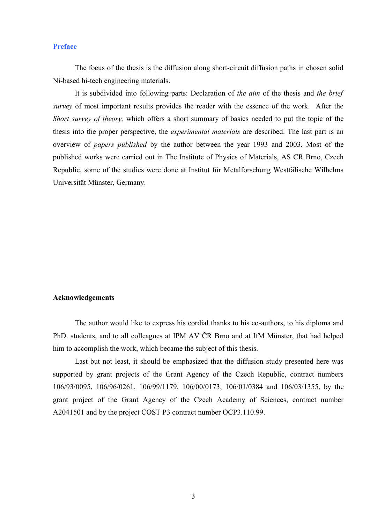## **Preface**

The focus of the thesis is the diffusion along short-circuit diffusion paths in chosen solid Ni-based hi-tech engineering materials.

It is subdivided into following parts: Declaration of *the aim* of the thesis and *the brief survey* of most important results provides the reader with the essence of the work. After the *Short survey of theory,* which offers a short summary of basics needed to put the topic of the thesis into the proper perspective, the *experimental materials* are described. The last part is an overview of *papers published* by the author between the year 1993 and 2003. Most of the published works were carried out in The Institute of Physics of Materials, AS CR Brno, Czech Republic, some of the studies were done at Institut für Metalforschung Westfälische Wilhelms Universität Münster, Germany.

#### **Acknowledgements**

The author would like to express his cordial thanks to his co-authors, to his diploma and PhD. students, and to all colleagues at IPM AV ČR Brno and at IfM Münster, that had helped him to accomplish the work, which became the subject of this thesis.

Last but not least, it should be emphasized that the diffusion study presented here was supported by grant projects of the Grant Agency of the Czech Republic, contract numbers 106/93/0095, 106/96/0261, 106/99/1179, 106/00/0173, 106/01/0384 and 106/03/1355, by the grant project of the Grant Agency of the Czech Academy of Sciences, contract number A2041501 and by the project COST P3 contract number OCP3.110.99.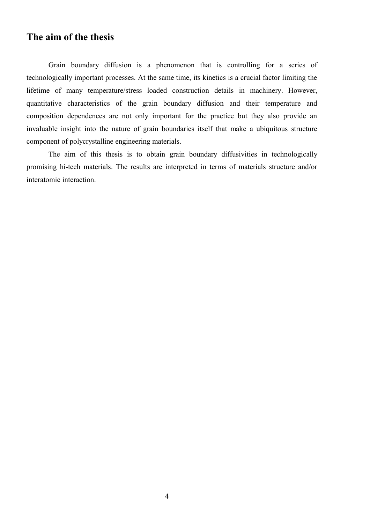## **The aim of the thesis**

Grain boundary diffusion is a phenomenon that is controlling for a series of technologically important processes. At the same time, its kinetics is a crucial factor limiting the lifetime of many temperature/stress loaded construction details in machinery. However, quantitative characteristics of the grain boundary diffusion and their temperature and composition dependences are not only important for the practice but they also provide an invaluable insight into the nature of grain boundaries itself that make a ubiquitous structure component of polycrystalline engineering materials.

The aim of this thesis is to obtain grain boundary diffusivities in technologically promising hi-tech materials. The results are interpreted in terms of materials structure and/or interatomic interaction.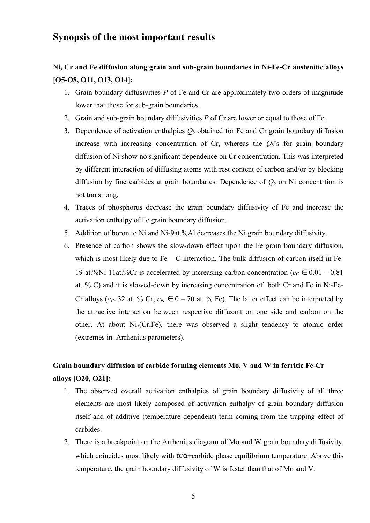## **Synopsis of the most important results**

# **Ni, Cr and Fe diffusion along grain and sub-grain boundaries in Ni-Fe-Cr austenitic alloys [O5-O8, O11, O13, O14]:**

- 1. Grain boundary diffusivities *P* of Fe and Cr are approximately two orders of magnitude lower that those for sub-grain boundaries.
- 2. Grain and sub-grain boundary diffusivities *P* of Cr are lower or equal to those of Fe.
- 3. Dependence of activation enthalpies *Q<sup>b</sup>* obtained for Fe and Cr grain boundary diffusion increase with increasing concentration of Cr, whereas the  $Q_b$ 's for grain boundary diffusion of Ni show no significant dependence on Cr concentration. This was interpreted by different interaction of diffusing atoms with rest content of carbon and/or by blocking diffusion by fine carbides at grain boundaries. Dependence of  $Q_b$  on Ni concentrtion is not too strong.
- 4. Traces of phosphorus decrease the grain boundary diffusivity of Fe and increase the activation enthalpy of Fe grain boundary diffusion.
- 5. Addition of boron to Ni and Ni-9at.%Al decreases the Ni grain boundary diffusivity.
- 6. Presence of carbon shows the slow-down effect upon the Fe grain boundary diffusion, which is most likely due to  $Fe - C$  interaction. The bulk diffusion of carbon itself in Fe-19 at.%Ni-11at.%Cr is accelerated by increasing carbon concentration ( $c_c \in 0.01 - 0.81$ ) at. % C) and it is slowed-down by increasing concentration of both Cr and Fe in Ni-Fe-Cr alloys ( $c_{Cr}$  32 at. % Cr;  $c_{Fe} \in 0 - 70$  at. % Fe). The latter effect can be interpreted by the attractive interaction between respective diffusant on one side and carbon on the other. At about Ni<sub>3</sub>(Cr,Fe), there was observed a slight tendency to atomic order (extremes in Arrhenius parameters).

# **Grain boundary diffusion of carbide forming elements Mo, V and W in ferritic Fe-Cr alloys [O20, O21]:**

- 1. The observed overall activation enthalpies of grain boundary diffusivity of all three elements are most likely composed of activation enthalpy of grain boundary diffusion itself and of additive (temperature dependent) term coming from the trapping effect of carbides.
- 2. There is a breakpoint on the Arrhenius diagram of Mo and W grain boundary diffusivity, which coincides most likely with  $\alpha/\alpha$ +carbide phase equilibrium temperature. Above this temperature, the grain boundary diffusivity of W is faster than that of Mo and V.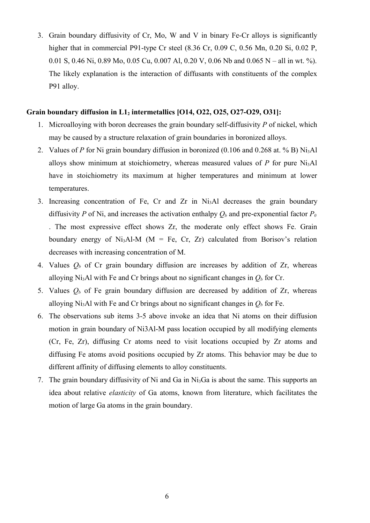3. Grain boundary diffusivity of Cr, Mo, W and V in binary Fe-Cr alloys is significantly higher that in commercial P91-type Cr steel (8.36 Cr, 0.09 C, 0.56 Mn, 0.20 Si, 0.02 P, 0.01 S, 0.46 Ni, 0.89 Mo, 0.05 Cu, 0.007 Al, 0.20 V, 0.06 Nb and 0.065 N – all in wt. %). The likely explanation is the interaction of diffusants with constituents of the complex P91 alloy.

### **Grain boundary diffusion in L12 intermetallics [O14, O22, O25, O27-O29, O31]:**

- 1. Microalloying with boron decreases the grain boundary self-diffusivity *P* of nickel, which may be caused by a structure relaxation of grain boundaries in boronized alloys.
- 2. Values of *P* for Ni grain boundary diffusion in boronized (0.106 and 0.268 at. % B) Ni<sub>3</sub>Al alloys show minimum at stoichiometry, whereas measured values of  $P$  for pure Ni<sub>3</sub>Al have in stoichiometry its maximum at higher temperatures and minimum at lower temperatures.
- 3. Increasing concentration of Fe, Cr and Zr in Ni3Al decreases the grain boundary diffusivity *P* of Ni, and increases the activation enthalpy  $O_b$  and pre-exponential factor  $P_0$ . The most expressive effect shows Zr, the moderate only effect shows Fe. Grain boundary energy of Ni<sub>3</sub>Al-M ( $M = Fe$ , Cr, Zr) calculated from Borisov's relation decreases with increasing concentration of M.
- 4. Values *Q<sup>b</sup>* of Cr grain boundary diffusion are increases by addition of Zr, whereas alloying Ni<sub>3</sub>Al with Fe and Cr brings about no significant changes in  $Q_b$  for Cr.
- 5. Values  $Q_b$  of Fe grain boundary diffusion are decreased by addition of Zr, whereas alloying Ni<sub>3</sub>Al with Fe and Cr brings about no significant changes in  $O_b$  for Fe.
- 6. The observations sub items 3-5 above invoke an idea that Ni atoms on their diffusion motion in grain boundary of Ni3Al-M pass location occupied by all modifying elements (Cr, Fe, Zr), diffusing Cr atoms need to visit locations occupied by Zr atoms and diffusing Fe atoms avoid positions occupied by Zr atoms. This behavior may be due to different affinity of diffusing elements to alloy constituents.
- 7. The grain boundary diffusivity of Ni and Ga in Ni3Ga is about the same. This supports an idea about relative *elasticity* of Ga atoms, known from literature, which facilitates the motion of large Ga atoms in the grain boundary.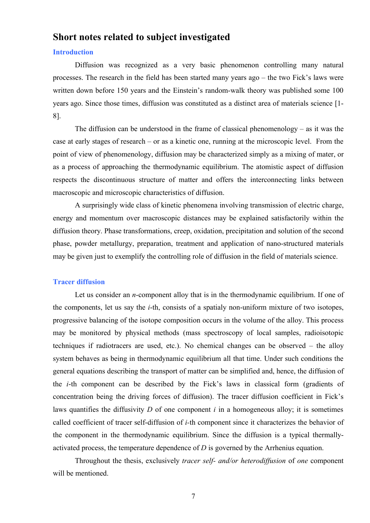## **Short notes related to subject investigated**

## **Introduction**

Diffusion was recognized as a very basic phenomenon controlling many natural processes. The research in the field has been started many years ago – the two Fick's laws were written down before 150 years and the Einstein's random-walk theory was published some 100 years ago. Since those times, diffusion was constituted as a distinct area of materials science [1- 8].

The diffusion can be understood in the frame of classical phenomenology – as it was the case at early stages of research – or as a kinetic one, running at the microscopic level. From the point of view of phenomenology, diffusion may be characterized simply as a mixing of mater, or as a process of approaching the thermodynamic equilibrium. The atomistic aspect of diffusion respects the discontinuous structure of matter and offers the interconnecting links between macroscopic and microscopic characteristics of diffusion.

A surprisingly wide class of kinetic phenomena involving transmission of electric charge, energy and momentum over macroscopic distances may be explained satisfactorily within the diffusion theory. Phase transformations, creep, oxidation, precipitation and solution of the second phase, powder metallurgy, preparation, treatment and application of nano-structured materials may be given just to exemplify the controlling role of diffusion in the field of materials science.

## **Tracer diffusion**

Let us consider an *n*-component alloy that is in the thermodynamic equilibrium. If one of the components, let us say the *i*-th, consists of a spatialy non-uniform mixture of two isotopes, progressive balancing of the isotope composition occurs in the volume of the alloy. This process may be monitored by physical methods (mass spectroscopy of local samples, radioisotopic techniques if radiotracers are used, etc.). No chemical changes can be observed – the alloy system behaves as being in thermodynamic equilibrium all that time. Under such conditions the general equations describing the transport of matter can be simplified and, hence, the diffusion of the *i*-th component can be described by the Fick's laws in classical form (gradients of concentration being the driving forces of diffusion). The tracer diffusion coefficient in Fick's laws quantifies the diffusivity *D* of one component *i* in a homogeneous alloy; it is sometimes called coefficient of tracer self-diffusion of *i-*th component since it characterizes the behavior of the component in the thermodynamic equilibrium. Since the diffusion is a typical thermallyactivated process, the temperature dependence of *D* is governed by the Arrhenius equation.

Throughout the thesis, exclusively *tracer self- and/or heterodiffusion* of *one* component will be mentioned.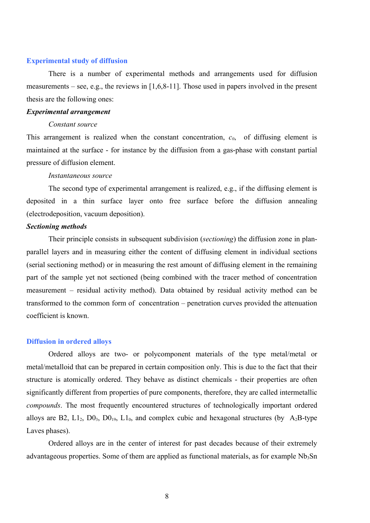#### **Experimental study of diffusion**

There is a number of experimental methods and arrangements used for diffusion measurements – see, e.g., the reviews in  $[1,6,8-11]$ . Those used in papers involved in the present thesis are the following ones:

#### *Experimental arrangement*

#### *Constant source*

This arrangement is realized when the constant concentration, *c0*, of diffusing element is maintained at the surface - for instance by the diffusion from a gas-phase with constant partial pressure of diffusion element.

#### *Instantaneous source*

The second type of experimental arrangement is realized, e.g., if the diffusing element is deposited in a thin surface layer onto free surface before the diffusion annealing (electrodeposition, vacuum deposition).

#### *Sectioning methods*

Their principle consists in subsequent subdivision (*sectioning*) the diffusion zone in planparallel layers and in measuring either the content of diffusing element in individual sections (serial sectioning method) or in measuring the rest amount of diffusing element in the remaining part of the sample yet not sectioned (being combined with the tracer method of concentration measurement – residual activity method). Data obtained by residual activity method can be transformed to the common form of concentration – penetration curves provided the attenuation coefficient is known.

#### **Diffusion in ordered alloys**

Ordered alloys are two- or polycomponent materials of the type metal/metal or metal/metalloid that can be prepared in certain composition only. This is due to the fact that their structure is atomically ordered. They behave as distinct chemicals - their properties are often significantly different from properties of pure components, therefore, they are called intermetallic *compounds*. The most frequently encountered structures of technologically important ordered alloys are B2,  $L1_2$ ,  $D0_3$ ,  $D0_{19}$ ,  $L1_0$ , and complex cubic and hexagonal structures (by A<sub>2</sub>B-type Laves phases).

Ordered alloys are in the center of interest for past decades because of their extremely advantageous properties. Some of them are applied as functional materials, as for example  $Nb<sub>3</sub>Sn$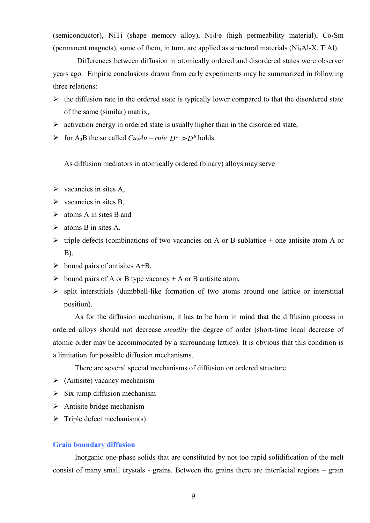(semiconductor), NiTi (shape memory alloy), Ni<sub>3</sub>Fe (high permeability material),  $Co<sub>5</sub>Sm$ (permanent magnets), some of them, in turn, are applied as structural materials  $(Ni<sub>3</sub>Al-X, TiAl)$ .

Differences between diffusion in atomically ordered and disordered states were observer years ago. Empiric conclusions drawn from early experiments may be summarized in following three relations:

- $\triangleright$  the diffusion rate in the ordered state is typically lower compared to that the disordered state of the same (similar) matrix,
- $\triangleright$  activation energy in ordered state is usually higher than in the disordered state,
- $\triangleright$  for A<sub>3</sub>B the so called *Cu<sub>3</sub>Au rule*  $D^A > D^B$  holds.

As diffusion mediators in atomically ordered (binary) alloys may serve

- $\triangleright$  vacancies in sites A,
- $\triangleright$  vacancies in sites B,
- $\triangleright$  atoms A in sites B and
- $\triangleright$  atoms B in sites A.
- $\triangleright$  triple defects (combinations of two vacancies on A or B sublattice + one antisite atom A or B),
- $\triangleright$  bound pairs of antisites A+B,
- $\triangleright$  bound pairs of A or B type vacancy + A or B antisite atom,
- $\triangleright$  split interstitials (dumbbell-like formation of two atoms around one lattice or interstitial position).

As for the diffusion mechanism, it has to be born in mind that the diffusion process in ordered alloys should not decrease *steadily* the degree of order (short-time local decrease of atomic order may be accommodated by a surrounding lattice). It is obvious that this condition is a limitation for possible diffusion mechanisms.

There are several special mechanisms of diffusion on ordered structure.

- $\triangleright$  (Antisite) vacancy mechanism
- $\triangleright$  Six jump diffusion mechanism
- $\triangleright$  Antisite bridge mechanism
- $\triangleright$  Triple defect mechanism(s)

## **Grain boundary diffusion**

Inorganic one-phase solids that are constituted by not too rapid solidification of the melt consist of many small crystals - grains. Between the grains there are interfacial regions – grain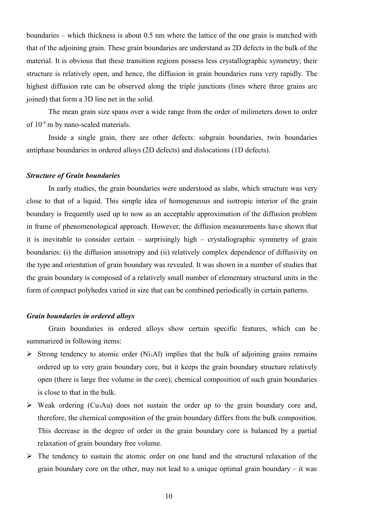boundaries – which thickness is about 0.5 nm where the lattice of the one grain is matched with that of the adjoining grain. These grain boundaries are understand as 2D defects in the bulk of the material. It is obvious that these transition regions possess less crystallographic symmetry; their structure is relatively open, and hence, the diffusion in grain boundaries runs very rapidly. The highest diffusion rate can be observed along the triple junctions (lines where three grains are joined) that form a 3D line net in the solid.

The mean grain size spans over a wide range from the order of milimeters down to order of  $10^{-9}$  m by nano-scaled materials.

Inside a single grain, there are other defects: subgrain boundaries, twin boundaries antiphase boundaries in ordered alloys (2D defects) and dislocations (1D defects).

#### *Structure of Grain boundaries*

In early studies, the grain boundaries were understood as slabs, which structure was very close to that of a liquid. This simple idea of homogeneous and isotropic interior of the grain boundary is frequently used up to now as an acceptable approximation of the diffusion problem in frame of phenomenological approach. However, the diffusion measurements have shown that it is inevitable to consider certain – surprisingly high – crystallographic symmetry of grain boundaries: (i) the diffusion anisotropy and (ii) relatively complex dependence of diffusivity on the type and orientation of grain boundary was revealed. It was shown in a number of studies that the grain boundary is composed of a relatively small number of elementary structural units in the form of compact polyhedra varied in size that can be combined periodically in certain patterns.

## *Grain boundaries in ordered alloys*

Grain boundaries in ordered alloys show certain specific features, which can be summarized in following items:

- $\triangleright$  Strong tendency to atomic order (Ni<sub>3</sub>Al) implies that the bulk of adjoining grains remains ordered up to very grain boundary core, but it keeps the grain boundary structure relatively open (there is large free volume in the core); chemical composition of such grain boundaries is close to that in the bulk.
- $\triangleright$  Weak ordering (Cu<sub>3</sub>Au) does not sustain the order up to the grain boundary core and, therefore, the chemical composition of the grain boundary differs from the bulk composition. This decrease in the degree of order in the grain boundary core is balanced by a partial relaxation of grain boundary free volume.
- $\triangleright$  The tendency to sustain the atomic order on one hand and the structural relaxation of the grain boundary core on the other, may not lead to a unique optimal grain boundary – it was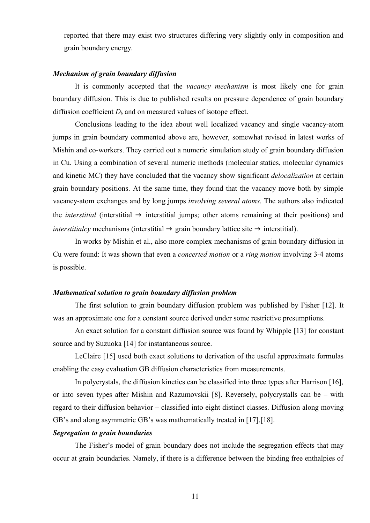reported that there may exist two structures differing very slightly only in composition and grain boundary energy.

#### *Mechanism of grain boundary diffusion*

It is commonly accepted that the *vacancy mechanism* is most likely one for grain boundary diffusion. This is due to published results on pressure dependence of grain boundary diffusion coefficient  $D_b$  and on measured values of isotope effect.

Conclusions leading to the idea about well localized vacancy and single vacancy-atom jumps in grain boundary commented above are, however, somewhat revised in latest works of Mishin and co-workers. They carried out a numeric simulation study of grain boundary diffusion in Cu. Using a combination of several numeric methods (molecular statics, molecular dynamics and kinetic MC) they have concluded that the vacancy show significant *delocalization* at certain grain boundary positions. At the same time, they found that the vacancy move both by simple vacancy-atom exchanges and by long jumps *involving several atoms*. The authors also indicated the *interstitial* (interstitial  $\rightarrow$  interstitial jumps; other atoms remaining at their positions) and *interstitialcy* mechanisms (interstitial  $\rightarrow$  grain boundary lattice site  $\rightarrow$  interstitial).

In works by Mishin et al., also more complex mechanisms of grain boundary diffusion in Cu were found: It was shown that even a *concerted motion* or a *ring motion* involving 3-4 atoms is possible.

#### *Mathematical solution to grain boundary diffusion problem*

The first solution to grain boundary diffusion problem was published by Fisher [12]. It was an approximate one for a constant source derived under some restrictive presumptions.

An exact solution for a constant diffusion source was found by Whipple [13] for constant source and by Suzuoka [14] for instantaneous source.

LeClaire [15] used both exact solutions to derivation of the useful approximate formulas enabling the easy evaluation GB diffusion characteristics from measurements.

In polycrystals, the diffusion kinetics can be classified into three types after Harrison [16], or into seven types after Mishin and Razumovskii [8]. Reversely, polycrystalls can be – with regard to their diffusion behavior – classified into eight distinct classes. Diffusion along moving GB's and along asymmetric GB's was mathematically treated in [17],[18].

## *Segregation to grain boundaries*

The Fisher's model of grain boundary does not include the segregation effects that may occur at grain boundaries. Namely, if there is a difference between the binding free enthalpies of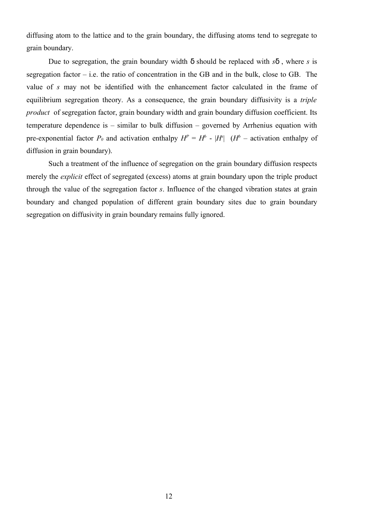diffusing atom to the lattice and to the grain boundary, the diffusing atoms tend to segregate to grain boundary.

Due to segregation, the grain boundary width  $\delta$  should be replaced with  $s\delta$ , where *s* is segregation factor  $-$  i.e. the ratio of concentration in the GB and in the bulk, close to GB. The value of *s* may not be identified with the enhancement factor calculated in the frame of equilibrium segregation theory. As a consequence, the grain boundary diffusivity is a *triple product* of segregation factor, grain boundary width and grain boundary diffusion coefficient. Its temperature dependence is – similar to bulk diffusion – governed by Arrhenius equation with pre-exponential factor  $P_0$  and activation enthalpy  $H^P = H^b - |H^s|$  ( $H^b$  – activation enthalpy of diffusion in grain boundary).

Such a treatment of the influence of segregation on the grain boundary diffusion respects merely the *explicit* effect of segregated (excess) atoms at grain boundary upon the triple product through the value of the segregation factor *s*. Influence of the changed vibration states at grain boundary and changed population of different grain boundary sites due to grain boundary segregation on diffusivity in grain boundary remains fully ignored.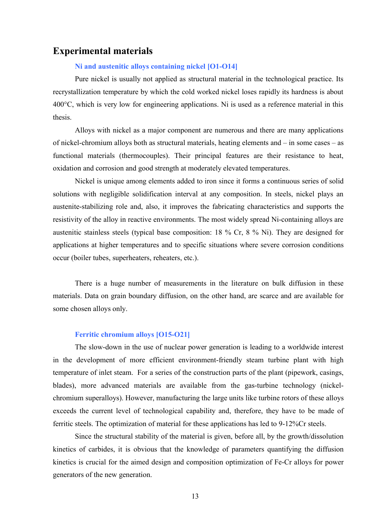## **Experimental materials**

## **Ni and austenitic alloys containing nickel [O1-O14]**

Pure nickel is usually not applied as structural material in the technological practice. Its recrystallization temperature by which the cold worked nickel loses rapidly its hardness is about 400°C, which is very low for engineering applications. Ni is used as a reference material in this thesis.

Alloys with nickel as a major component are numerous and there are many applications of nickel-chromium alloys both as structural materials, heating elements and – in some cases – as functional materials (thermocouples). Their principal features are their resistance to heat, oxidation and corrosion and good strength at moderately elevated temperatures.

Nickel is unique among elements added to iron since it forms a continuous series of solid solutions with negligible solidification interval at any composition. In steels, nickel plays an austenite-stabilizing role and, also, it improves the fabricating characteristics and supports the resistivity of the alloy in reactive environments. The most widely spread Ni-containing alloys are austenitic stainless steels (typical base composition: 18 % Cr, 8 % Ni). They are designed for applications at higher temperatures and to specific situations where severe corrosion conditions occur (boiler tubes, superheaters, reheaters, etc.).

There is a huge number of measurements in the literature on bulk diffusion in these materials. Data on grain boundary diffusion, on the other hand, are scarce and are available for some chosen alloys only.

#### **Ferritic chromium alloys [O15-O21]**

The slow-down in the use of nuclear power generation is leading to a worldwide interest in the development of more efficient environment-friendly steam turbine plant with high temperature of inlet steam. For a series of the construction parts of the plant (pipework, casings, blades), more advanced materials are available from the gas-turbine technology (nickelchromium superalloys). However, manufacturing the large units like turbine rotors of these alloys exceeds the current level of technological capability and, therefore, they have to be made of ferritic steels. The optimization of material for these applications has led to 9-12%Cr steels.

Since the structural stability of the material is given, before all, by the growth/dissolution kinetics of carbides, it is obvious that the knowledge of parameters quantifying the diffusion kinetics is crucial for the aimed design and composition optimization of Fe-Cr alloys for power generators of the new generation.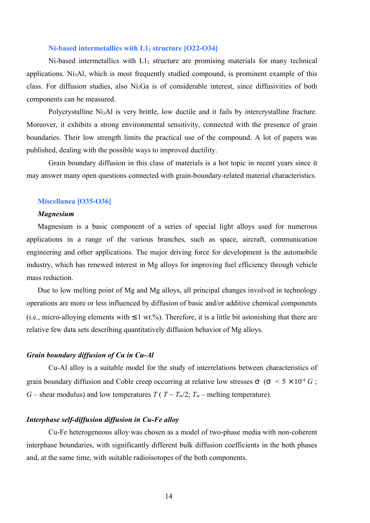#### **Ni-based intermetallics with L12 structure [O22-O34]**

 $Ni$ -based intermetallics with  $L_1$ <sub>2</sub> structure are promising materials for many technical applications. Ni3Al, which is most frequently studied compound, is prominent example of this class. For diffusion studies, also Ni3Ga is of considerable interest, since diffusivities of both components can be measured.

Polycrystalline Ni<sub>3</sub>Al is very brittle, low ductile and it fails by intercrystalline fracture. Moreover, it exhibits a strong environmental sensitivity, connected with the presence of grain boundaries. Their low strength limits the practical use of the compound. A lot of papers was published, dealing with the possible ways to improved ductility.

Grain boundary diffusion in this class of materials is a hot topic in recent years since it may answer many open questions connected with grain-boundary-related material characteristics.

#### **Miscellanea [O35-O36]**

## *Magnesium*

Magnesium is a basic component of a series of special light alloys used for numerous applications in a range of the various branches, such as space, aircraft, communication engineering and other applications. The major driving force for development is the automobile industry, which has renewed interest in Mg alloys for improving fuel efficiency through vehicle mass reduction.

Due to low melting point of Mg and Mg alloys, all principal changes involved in technology operations are more or less influenced by diffusion of basic and/or additive chemical components (i.e., micro-alloying elements with  $\leq 1$  wt.%). Therefore, it is a little bit astonishing that there are relative few data sets describing quantitatively diffusion behavior of Mg alloys.

#### *Grain boundary diffusion of Cu in Cu-Al*

Cu-Al alloy is a suitable model for the study of interrelations between characteristics of grain boundary diffusion and Coble creep occurring at relative low stresses  $\sigma$  ( $\sigma$  <  $5 \times 10^{4}$  *G*; *G* – shear modulus) and low temperatures *T* ( $T \sim T_m/2$ ;  $T_m$  – melting temperature).

### *Interphase self-diffusion diffusion in Cu-Fe alloy*

Cu-Fe heterogeneous alloy was chosen as a model of two-phase media with non-coherent interphase boundaries, with significantly different bulk diffusion coefficients in the both phases and, at the same time, with suitable radioisotopes of the both components.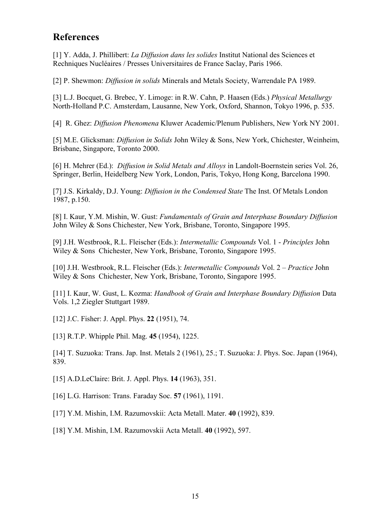# **References**

[1] Y. Adda, J. Phillibert: *La Diffusion dans les solides* Institut National des Sciences et Rechniques Nucléaires / Presses Universitaires de France Saclay, Paris 1966.

[2] P. Shewmon: *Diffusion in solids* Minerals and Metals Society, Warrendale PA 1989.

[3] L.J. Bocquet, G. Brebec, Y. Limoge: in R.W. Cahn, P. Haasen (Eds.) *Physical Metallurgy* North-Holland P.C. Amsterdam, Lausanne, New York, Oxford, Shannon, Tokyo 1996, p. 535.

[4] R. Ghez: *Diffusion Phenomena* Kluwer Academic/Plenum Publishers, New York NY 2001.

[5] M.E. Glicksman: *Diffusion in Solids* John Wiley & Sons, New York, Chichester, Weinheim, Brisbane, Singapore, Toronto 2000.

[6] H. Mehrer (Ed.): *Diffusion in Solid Metals and Alloys* in Landolt-Boernstein series Vol. 26, Springer, Berlin, Heidelberg New York, London, Paris, Tokyo, Hong Kong, Barcelona 1990.

[7] J.S. Kirkaldy, D.J. Young: *Diffusion in the Condensed State* The Inst. Of Metals London 1987, p.150.

[8] I. Kaur, Y.M. Mishin, W. Gust: *Fundamentals of Grain and Interphase Boundary Diffusion* John Wiley & Sons Chichester, New York, Brisbane, Toronto, Singapore 1995.

[9] J.H. Westbrook, R.L. Fleischer (Eds.): *Intermetallic Compounds* Vol. 1 - *Principles* John Wiley & Sons Chichester, New York, Brisbane, Toronto, Singapore 1995.

[10] J.H. Westbrook, R.L. Fleischer (Eds.): *Intermetallic Compounds* Vol. 2 – *Practice* John Wiley & Sons Chichester, New York, Brisbane, Toronto, Singapore 1995.

[11] I. Kaur, W. Gust, L. Kozma: *Handbook of Grain and Interphase Boundary Diffusion* Data Vols. 1,2 Ziegler Stuttgart 1989.

[12] J.C. Fisher: J. Appl. Phys. **22** (1951), 74.

[13] R.T.P. Whipple Phil. Mag. **45** (1954), 1225.

[14] T. Suzuoka: Trans. Jap. Inst. Metals 2 (1961), 25.; T. Suzuoka: J. Phys. Soc. Japan (1964), 839.

[15] A.D.LeClaire: Brit. J. Appl. Phys. **14** (1963), 351.

[16] L.G. Harrison: Trans. Faraday Soc. **57** (1961), 1191.

[17] Y.M. Mishin, I.M. Razumovskii: Acta Metall. Mater. **40** (1992), 839.

[18] Y.M. Mishin, I.M. Razumovskii Acta Metall. **40** (1992), 597.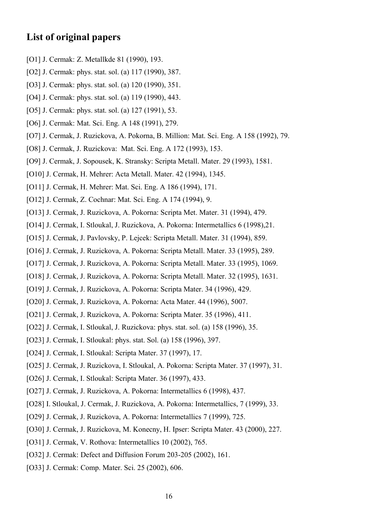# **List of original papers**

- [O1] J. Cermak: Z. Metallkde 81 (1990), 193.
- [O2] J. Cermak: phys. stat. sol. (a) 117 (1990), 387.
- [O3] J. Cermak: phys. stat. sol. (a) 120 (1990), 351.
- [O4] J. Cermak: phys. stat. sol. (a) 119 (1990), 443.
- [O5] J. Cermak: phys. stat. sol. (a) 127 (1991), 53.
- [O6] J. Cermak: Mat. Sci. Eng. A 148 (1991), 279.
- [O7] J. Cermak, J. Ruzickova, A. Pokorna, B. Million: Mat. Sci. Eng. A 158 (1992), 79.
- [O8] J. Cermak, J. Ruzickova: Mat. Sci. Eng. A 172 (1993), 153.
- [O9] J. Cermak, J. Sopousek, K. Stransky: Scripta Metall. Mater. 29 (1993), 1581.
- [O10] J. Cermak, H. Mehrer: Acta Metall. Mater. 42 (1994), 1345.
- [O11] J. Cermak, H. Mehrer: Mat. Sci. Eng. A 186 (1994), 171.
- [O12] J. Cermak, Z. Cochnar: Mat. Sci. Eng. A 174 (1994), 9.
- [O13] J. Cermak, J. Ruzickova, A. Pokorna: Scripta Met. Mater. 31 (1994), 479.
- [O14] J. Cermak, I. Stloukal, J. Ruzickova, A. Pokorna: Intermetallics 6 (1998),21.
- [O15] J. Cermak, J. Pavlovsky, P. Lejcek: Scripta Metall. Mater. 31 (1994), 859.
- [O16] J. Cermak, J. Ruzickova, A. Pokorna: Scripta Metall. Mater. 33 (1995), 289.
- [O17] J. Cermak, J. Ruzickova, A. Pokorna: Scripta Metall. Mater. 33 (1995), 1069.
- [O18] J. Cermak, J. Ruzickova, A. Pokorna: Scripta Metall. Mater. 32 (1995), 1631.
- [O19] J. Cermak, J. Ruzickova, A. Pokorna: Scripta Mater. 34 (1996), 429.
- [O20] J. Cermak, J. Ruzickova, A. Pokorna: Acta Mater. 44 (1996), 5007.
- [O21] J. Cermak, J. Ruzickova, A. Pokorna: Scripta Mater. 35 (1996), 411.
- [O22] J. Cermak, I. Stloukal, J. Ruzickova: phys. stat. sol. (a) 158 (1996), 35.
- [O23] J. Cermak, I. Stloukal: phys. stat. Sol. (a) 158 (1996), 397.
- [O24] J. Cermak, I. Stloukal: Scripta Mater. 37 (1997), 17.
- [O25] J. Cermak, J. Ruzickova, I. Stloukal, A. Pokorna: Scripta Mater. 37 (1997), 31.
- [O26] J. Cermak, I. Stloukal: Scripta Mater. 36 (1997), 433.
- [O27] J. Cermak, J. Ruzickova, A. Pokorna: Intermetallics 6 (1998), 437.
- [O28] I. Stloukal, J. Cermak, J. Ruzickova, A. Pokorna: Intermetallics, 7 (1999), 33.
- [O29] J. Cermak, J. Ruzickova, A. Pokorna: Intermetallics 7 (1999), 725.
- [O30] J. Cermak, J. Ruzickova, M. Konecny, H. Ipser: Scripta Mater. 43 (2000), 227.
- [O31] J. Cermak, V. Rothova: Intermetallics 10 (2002), 765.
- [O32] J. Cermak: Defect and Diffusion Forum 203-205 (2002), 161.
- [O33] J. Cermak: Comp. Mater. Sci. 25 (2002), 606.